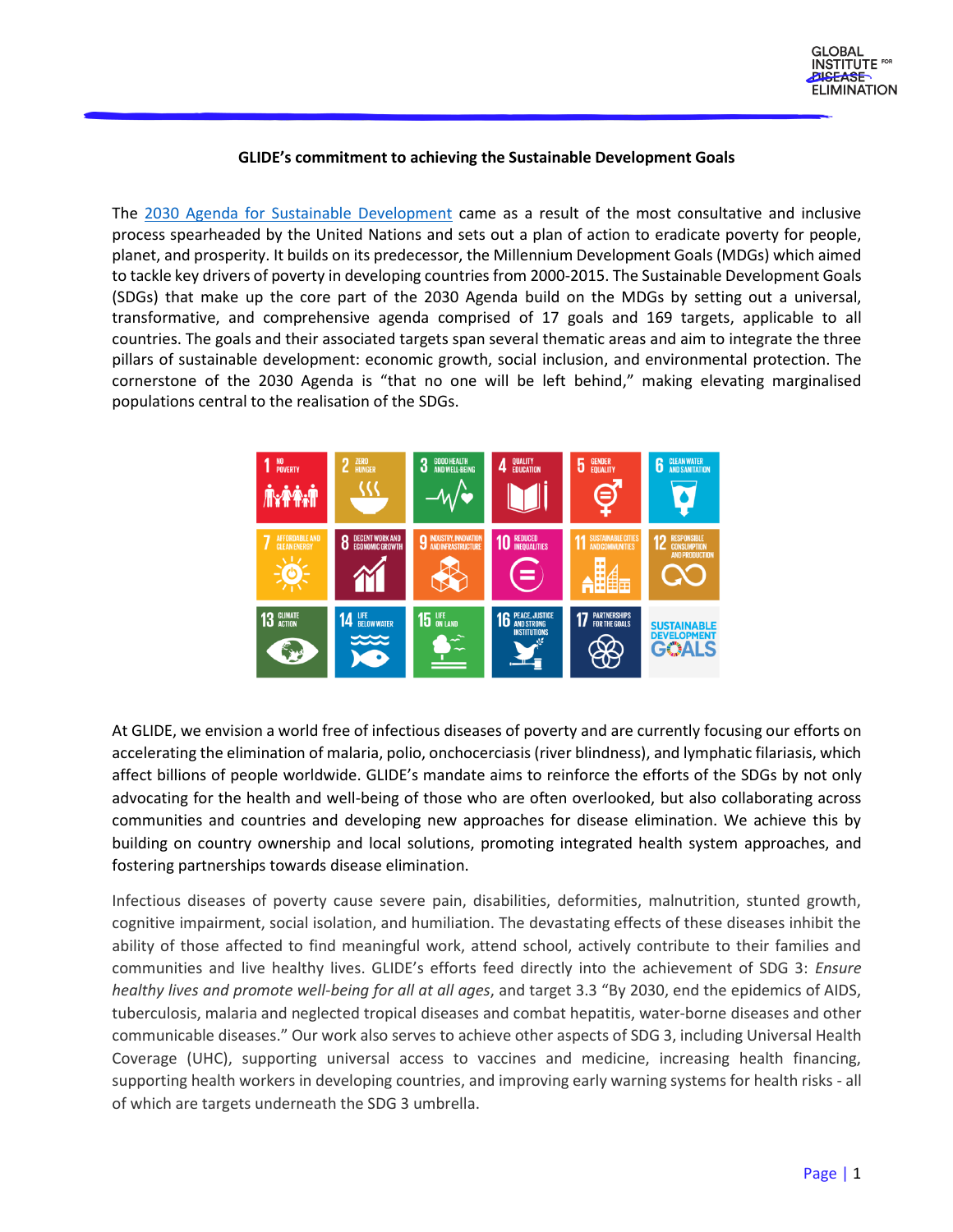## **GLIDE's commitment to achieving the Sustainable Development Goals**

The [2030 Agenda for Sustainable Development](https://sdgs.un.org/2030agenda) came as a result of the most consultative and inclusive process spearheaded by the United Nations and sets out a plan of action to eradicate poverty for people, planet, and prosperity. It builds on its predecessor, the Millennium Development Goals (MDGs) which aimed to tackle key drivers of poverty in developing countries from 2000-2015. The Sustainable Development Goals (SDGs) that make up the core part of the 2030 Agenda build on the MDGs by setting out a universal, transformative, and comprehensive agenda comprised of 17 goals and 169 targets, applicable to all countries. The goals and their associated targets span several thematic areas and aim to integrate the three pillars of sustainable development: economic growth, social inclusion, and environmental protection. The cornerstone of the 2030 Agenda is "that no one will be left behind," making elevating marginalised populations central to the realisation of the SDGs.



At GLIDE, we envision a world free of infectious diseases of poverty and are currently focusing our efforts on accelerating the elimination of malaria, polio, onchocerciasis (river blindness), and lymphatic filariasis, which affect billions of people worldwide. GLIDE's mandate aims to reinforce the efforts of the SDGs by not only advocating for the health and well-being of those who are often overlooked, but also collaborating across communities and countries and developing new approaches for disease elimination. We achieve this by building on country ownership and local solutions, promoting integrated health system approaches, and fostering partnerships towards disease elimination.

Infectious diseases of poverty cause severe pain, disabilities, deformities, malnutrition, stunted growth, cognitive impairment, social isolation, and humiliation. The devastating effects of these diseases inhibit the ability of those affected to find meaningful work, attend school, actively contribute to their families and communities and live healthy lives. GLIDE's efforts feed directly into the achievement of SDG 3: *Ensure healthy lives and promote well-being for all at all ages*, and target 3.3 "By 2030, end the epidemics of AIDS, tuberculosis, malaria and neglected tropical diseases and combat hepatitis, water-borne diseases and other communicable diseases." Our work also serves to achieve other aspects of SDG 3, including Universal Health Coverage (UHC), supporting universal access to vaccines and medicine, increasing health financing, supporting health workers in developing countries, and improving early warning systems for health risks - all of which are targets underneath the SDG 3 umbrella.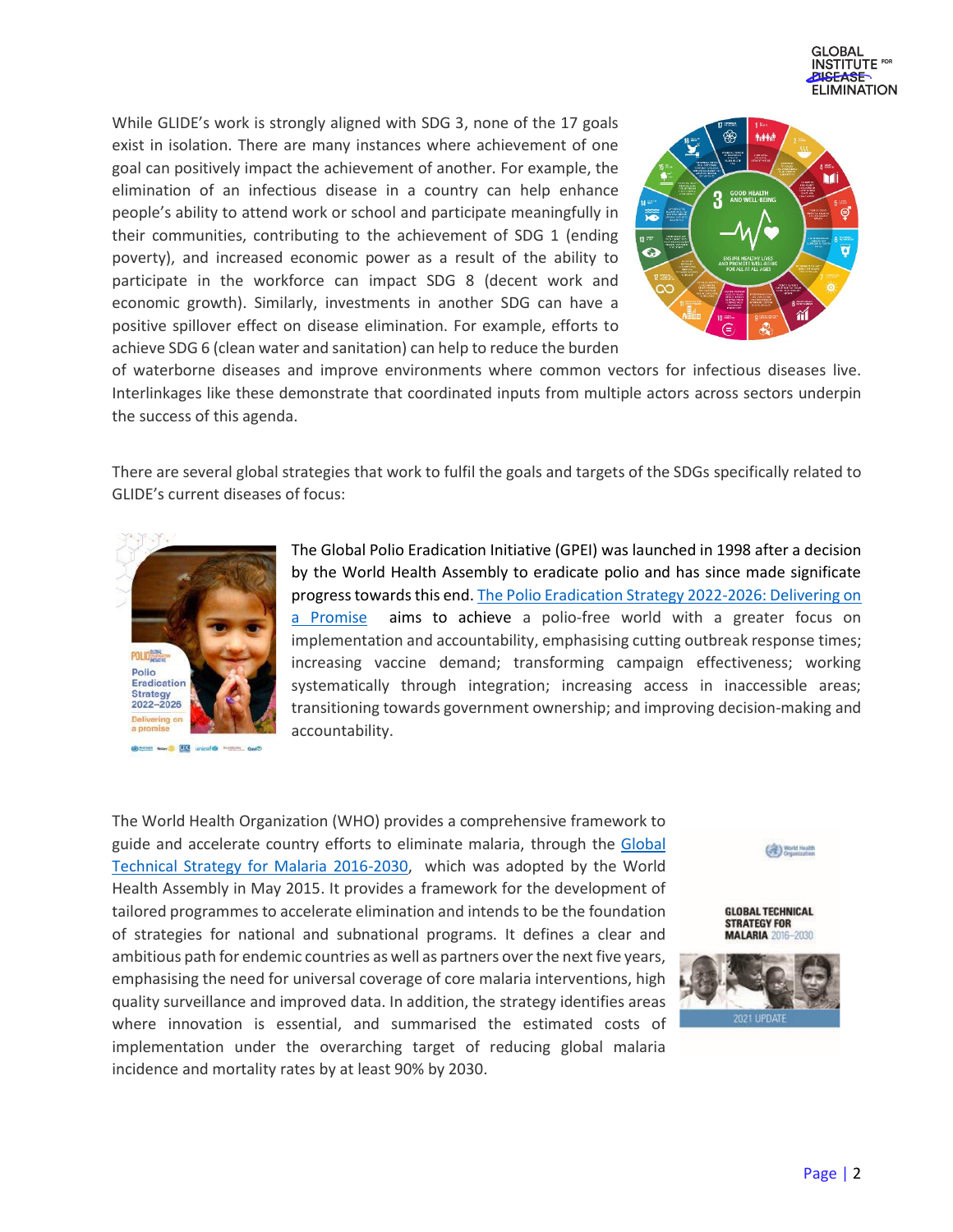

While GLIDE's work is strongly aligned with SDG 3, none of the 17 goals exist in isolation. There are many instances where achievement of one goal can positively impact the achievement of another. For example, the elimination of an infectious disease in a country can help enhance people's ability to attend work or school and participate meaningfully in their communities, contributing to the achievement of SDG 1 (ending poverty), and increased economic power as a result of the ability to participate in the workforce can impact SDG 8 (decent work and economic growth). Similarly, investments in another SDG can have a positive spillover effect on disease elimination. For example, efforts to achieve SDG 6 (clean water and sanitation) can help to reduce the burden



of waterborne diseases and improve environments where common vectors for infectious diseases live. Interlinkages like these demonstrate that coordinated inputs from multiple actors across sectors underpin the success of this agenda.

There are several global strategies that work to fulfil the goals and targets of the SDGs specifically related to GLIDE's current diseases of focus:



@com www. 203 unicef@ Months, and

The Global Polio Eradication Initiative (GPEI) was launched in 1998 after a decision by the World Health Assembly to eradicate polio and has since made significate progress towards this end. The [Polio Eradication Strategy 2022-2026: Delivering on](https://polioeradication.org/gpei-strategy-2022-2026/)  [a Promise](https://polioeradication.org/gpei-strategy-2022-2026/) aims to achieve a polio-free world with a greater focus on implementation and accountability, emphasising cutting outbreak response times; increasing vaccine demand; transforming campaign effectiveness; working systematically through integration; increasing access in inaccessible areas; transitioning towards government ownership; and improving decision-making and accountability.

The World Health Organization (WHO) provides a comprehensive framework to guide and accelerate country efforts to eliminate malaria, through the Global [Technical Strategy for Malaria 2016-2030,](https://www.who.int/publications/i/item/9789240031357) which was adopted by the World Health Assembly in May 2015. It provides a framework for the development of tailored programmes to accelerate elimination and intends to be the foundation of strategies for national and subnational programs. It defines a clear and ambitious path for endemic countries as well as partners over the next five years, emphasising the need for universal coverage of core malaria interventions, high quality surveillance and improved data. In addition, the strategy identifies areas where innovation is essential, and summarised the estimated costs of implementation under the overarching target of reducing global malaria incidence and mortality rates by at least 90% by 2030.